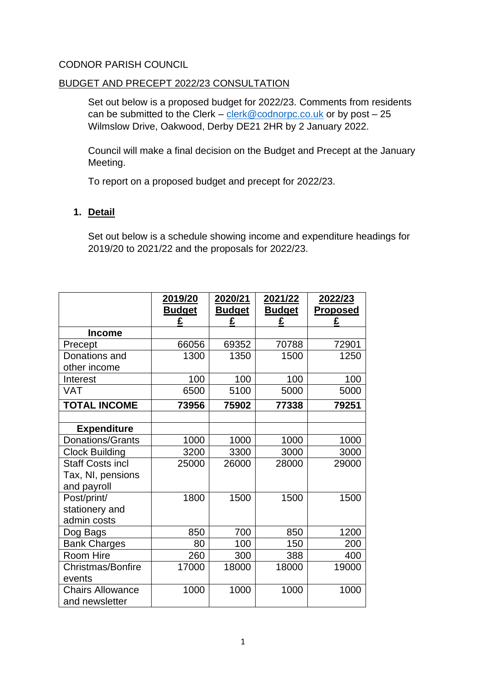## CODNOR PARISH COUNCIL

## BUDGET AND PRECEPT 2022/23 CONSULTATION

Set out below is a proposed budget for 2022/23. Comments from residents can be submitted to the Clerk – [clerk@codnorpc.co.uk](mailto:clerk@codnorpc.co.uk) or by post –  $25$ Wilmslow Drive, Oakwood, Derby DE21 2HR by 2 January 2022.

Council will make a final decision on the Budget and Precept at the January Meeting.

To report on a proposed budget and precept for 2022/23.

## **1. Detail**

Set out below is a schedule showing income and expenditure headings for 2019/20 to 2021/22 and the proposals for 2022/23.

|                         | 2019/20       | 2020/21       | 2021/22       | 2022/23         |
|-------------------------|---------------|---------------|---------------|-----------------|
|                         | <b>Budget</b> | <b>Budget</b> | <b>Budget</b> | <b>Proposed</b> |
|                         | £             | £             | £             | £               |
| <b>Income</b>           |               |               |               |                 |
| Precept                 | 66056         | 69352         | 70788         | 72901           |
| Donations and           | 1300          | 1350          | 1500          | 1250            |
| other income            |               |               |               |                 |
| Interest                | 100           | 100           | 100           | 100             |
| <b>VAT</b>              | 6500          | 5100          | 5000          | 5000            |
| <b>TOTAL INCOME</b>     | 73956         | 75902         | 77338         | 79251           |
|                         |               |               |               |                 |
| <b>Expenditure</b>      |               |               |               |                 |
| Donations/Grants        | 1000          | 1000          | 1000          | 1000            |
| <b>Clock Building</b>   | 3200          | 3300          | 3000          | 3000            |
| <b>Staff Costs incl</b> | 25000         | 26000         | 28000         | 29000           |
| Tax, NI, pensions       |               |               |               |                 |
| and payroll             |               |               |               |                 |
| Post/print/             | 1800          | 1500          | 1500          | 1500            |
| stationery and          |               |               |               |                 |
| admin costs             |               |               |               |                 |
| Dog Bags                | 850           | 700           | 850           | 1200            |
| <b>Bank Charges</b>     | 80            | 100           | 150           | 200             |
| Room Hire               | 260           | 300           | 388           | 400             |
| Christmas/Bonfire       | 17000         | 18000         | 18000         | 19000           |
| events                  |               |               |               |                 |
| <b>Chairs Allowance</b> | 1000          | 1000          | 1000          | 1000            |
| and newsletter          |               |               |               |                 |